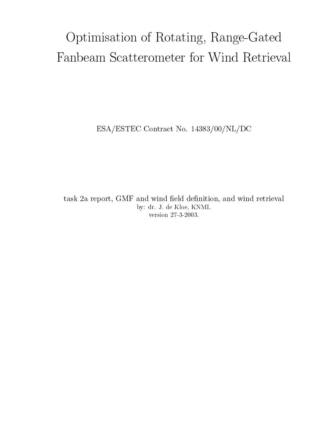# Optimisation of Rotating, Range-Gated

ESA/ESTEC Contract No. 14383/00/NL/DC

task 2a report, GMF and wind field definition, and wind retrieval by: dr. J. de Kloe, KNMI, version 27-3-2003.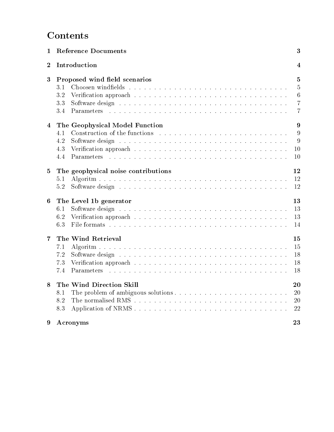# **Contents**

| $\mathbf{1}$     | <b>Reference Documents</b>                                                      |                                       |  |  |  |  |  |  |  |
|------------------|---------------------------------------------------------------------------------|---------------------------------------|--|--|--|--|--|--|--|
| $\boldsymbol{2}$ | Introduction                                                                    |                                       |  |  |  |  |  |  |  |
| $\bf{3}$         | Proposed wind field scenarios<br>3.1<br>3.2<br>3.3<br>3.4<br>Parameters         | 5<br>5<br>6<br>7<br>7                 |  |  |  |  |  |  |  |
| 4                | The Geophysical Model Function<br>4.1<br>4.2<br>4.3<br>4.4<br><b>Parameters</b> | $9\phantom{.0}$<br>9<br>9<br>10<br>10 |  |  |  |  |  |  |  |
| 5                | The geophysical noise contributions<br>5.1<br>5.2                               | 12<br><sup>12</sup><br>12             |  |  |  |  |  |  |  |
| 6                | The Level 1b generator<br>6.1<br>6.2<br>6.3                                     | 13<br>13<br>13<br>14                  |  |  |  |  |  |  |  |
| 7                | The Wind Retrieval<br>7.1<br>7.2<br>7.3<br>7.4<br>Parameters                    | 15<br>15<br>18<br>18<br>18            |  |  |  |  |  |  |  |
| 8                | The Wind Direction Skill<br>8.1<br>8.2<br>8.3                                   | 20<br><b>20</b><br><b>20</b><br>22    |  |  |  |  |  |  |  |
| 9                | Acronyms                                                                        | 23                                    |  |  |  |  |  |  |  |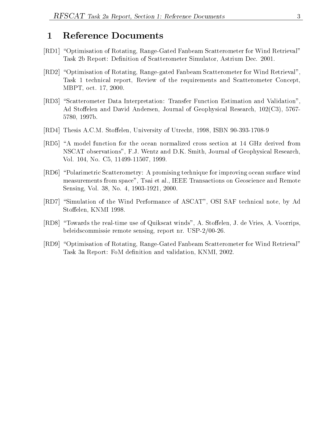# 1 Reference Documents

- $[\mathrm{RD1}] \,$  "Optimisation of Rotating, Range-Gated Fanbeam Scatterometer for Wind Retrieval" Task 2b Report: Definition of Scatterometer Simulator, Astrium Dec. 2001.
- [RD2] "Optimisation of Rotating, Range-gated Fanbeam Scatterometer for Wind Retrieval", Task 1 technical report, Review of the requirements and Scatterometer Concept, MBPT, oct. 17, 2000.
- $\left| \text{RD3} \right|$  "Scatterometer Data Interpretation: Transfer Function Estimation and Validation", Ad Stoffelen and David Andersen, Journal of Geophysical Research,  $102(C3)$ , 5767-5780, 1997b.
- [RD4] Thesis A.C.M. Stoffelen, University of Utrecht, 1998, ISBN 90-393-1708-9
- [RD5] "A model function for the ocean normalized cross section at 14 GHz derived from NSCAT observations", F.J. Wentz and D.K. Smith, Journal of Geophysical Research, Vol. 104, No. C5, 11499-11507, 1999.
- [RD6] \Polarimetric Scatterometry: A promising technique for improving ocean surface wind measurements from space", Tsai et al., IEEE Transactions on Geoscience and Remote Sensing, Vol. 38, No. 4, 1903-1921, 2000.
- [RD7] "Simulation of the Wind Performance of ASCAT", OSI SAF technical note, by Ad Stoffelen, KNMI 1998.
- [RD8] "Towards the real-time use of Quikscat winds", A. Stoffelen, J. de Vries, A. Voorrips, beleidscommissie remote sensing, report nr. USP-2/00-26.
- [RD9] "Optimisation of Rotating, Range-Gated Fanbeam Scatterometer for Wind Retrieval" Task 3a Report: FoM definition and validation, KNMI, 2002.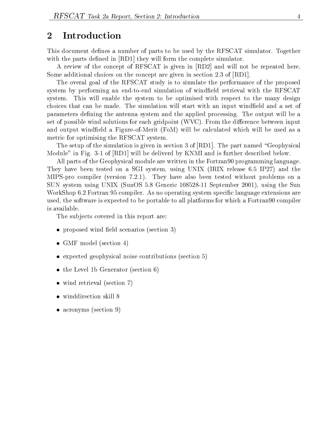# 2 Introduction

This document defines a number of parts to be used by the RFSCAT simulator. Together with the parts defined in [RD1] they will form the complete simulator.

A review of the concept of RFSCAT is given in [RD2] and will not be repeated here. Some additional choices on the concept are given in section 2.3 of [RD1].

The overal goal of the RFSCAT study is to simulate the performance of the proposed system by performing an end-to-end simulation of windfield retrieval with the RFSCAT system. This will enable the system to be optimised with respect to the many design choices that can be made. The simulation will start with an input windfield and a set of parameters defining the antenna system and the applied processing. The output will be a set of possible wind solutions for each gridpoint  $(WVC)$ . From the difference between input and output windfield a Figure-of-Merit (FoM) will be calculated which will be used as a metric for optimising the RFSCAT system.

The setup of the simulation is given in section 3 of  $[RD1]$ . The part named "Geophysical Module" in Fig. 3-1 of [RD1] will be deliverd by KNMI and is further described below.

All parts of the Geophysical module are written in the Fortran90 programming language. They have been tested on a SGI system, using UNIX (IRIX release 6.5 IP27) and the MIPS-pro compiler (version 7.2.1). They have also been tested without problems on a SUN system using UNIX (SunOS 5.8 Generic 108528-11 September 2001), using the Sun WorkShop 6.2 Fortran 95 compiler. As no operating system specic language extensions are used, the software is expected to be portable to all platforms for which a Fortran90 compiler is available.

The subjects covered in this report are:

- proposed wind field scenarios (section 3)
- GMF model (section 4)
- expected geophysical noise contributions (section 5)
- the Level 1b Generator (section 6)
- wind retrieval (section 7)
- winddirection skill 8
- acronyms (section 9)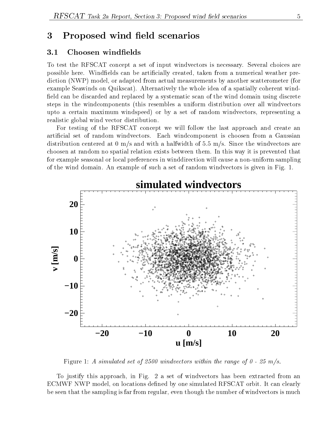# 3 Proposed wind field scenarios

## 3.1 Choosen windelds

To test the RFSCAT concept a set of input windvectors is necessary. Several choices are possible here. Windfields can be artificially created, taken from a numerical weather prediction (NWP) model, or adapted from actual measurements by another scatterometer (for example Seawinds on Quikscat). Alternatively the whole idea of a spatially coherent wind field can be discarded and replaced by a systematic scan of the wind domain using discrete steps in the windcomponents (this resembles a uniform distribution over all windvectors upto a certain maximum windspeed) or by a set of random windvectors, representing a realistic global wind vector distribution.

For testing of the RFSCAT concept we will follow the last approach and create an articial set of random windvectors. Each windcomponent is choosen from a Gaussian distribution centered at 0 m/s and with a halfwidth of 5.5 m/s. Since the windvectors are choosen at random no spatial relation exists between them. In this way it is prevented that for example seasonal or local preferences in winddirection will cause a non-uniform sampling of the wind domain. An example of such a set of random windvectors is given in Fig. 1.



Figure 1: A simulated set of 2500 windvectors within the range of  $0 - 25$  m/s.

To justify this approach, in Fig. 2 a set of windvectors has been extracted from an ECMWF NWP model, on locations defined by one simulated RFSCAT orbit. It can clearly be seen that the sampling is far from regular, even though the number of windvectors is much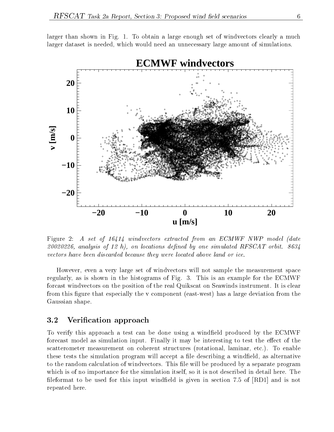

larger than shown in Fig. 1. To obtain a large enough set of windvectors clearly a much larger dataset is needed, which would need an unnecessary large amount of simulations.

Figure 2: A set of  $16414$  windvectors extracted from an ECMWF NWP model (date  $20020226$ , analysis of 12 h), on locations defined by one simulated RFSCAT orbit. 8634 vectors have been discarded because they were located above land or ice.

However, even a very large set of windvectors will not sample the measurement space regularly, as is shown in the histograms of Fig. 3. This is an example for the ECMWF forcast windvectors on the position of the real Quikscat on Seawinds instrument. It is clear from this figure that especially the v component (east-west) has a large deviation from the Gaussian shape.

#### 3.2 Verication approach

To verify this approach a test can be done using a windeld produced by the ECMWF forecast model as simulation input. Finally it may be interesting to test the effect of the scatterometer measurement on coherent structures (rotational, laminar, etc.). To enable these tests the simulation program will accept a file describing a windfield, as alternative to the random calculation of windvectors. This file will be produced by a separate program which is of no importance for the simulation itself, so it is not described in detail here. The fileformat to be used for this input windfield is given in section 7.5 of  $|RD1|$  and is not repeated here.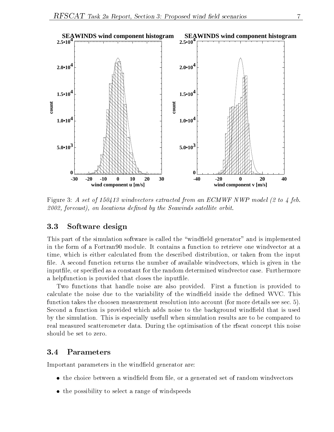

Figure 3: A set of 150413 windvectors extracted from an ECMWF NWP model (2 to 4 feb.  $2002$ , forecast), on locations defined by the Seawinds satellite orbit.

#### 3.3 Software design

This part of the simulation software is called the "windfield generator" and is implemented in the form of a Fortran90 module. It contains a function to retrieve one windvector at a time, which is either calculated from the described distribution, or taken from the input file. A second function returns the number of available windvectors, which is given in the inputfile, or specified as a constant for the random determined windvector case. Furthermore a helpfunction is provided that closes the inputle.

Two functions that handle noise are also provided. First a function is provided to calculate the noise due to the variability of the windfield inside the defined WVC. This function takes the choosen measurement resolution into account (for more details see sec. 5). Second a function is provided which adds noise to the background windfield that is used by the simulation. This is especially usefull when simulation results are to be compared to real measured scatterometer data. During the optimisation of the rfscat concept this noise should be set to zero.

Important parameters in the windfield generator are:

- the choice between a windfield from file, or a generated set of random windvectors
- the possibility to select a range of windspeeds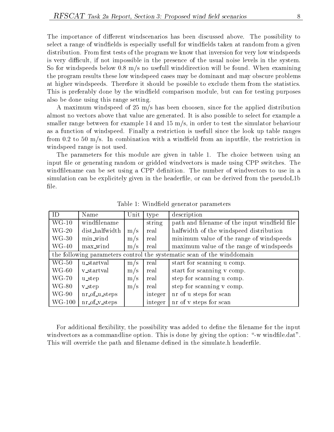The importance of different windscenarios has been discussed above. The possibility to select a range of windfields is especially usefull for windfields taken at random from a given distribution. From first tests of the program we know that inversion for very low windspeeds is very difficult, if not impossible in the presence of the usual noise levels in the system. So for windspeeds below 0.8  $m/s$  no usefull winddirection will be found. When examining the program results these low windspeed cases may be dominant and may obscure problems at higher windspeeds. Therefore it should be possible to exclude them from the statistics. This is preferably done by the windfield comparison module, but can for testing purposes also be done using this range setting.

A maximum windspeed of 25 m/s has been choosen, since for the applied distribution almost no vectors above that value are generated. It is also possible to select for example a smaller range between for example 14 and 15  $m/s$ , in order to test the simulator behaviour as a function of windspeed. Finally a restriction is usefull since the look up table ranges from 0.2 to 50 m/s. In combination with a windfield from an inputfile, the restriction in windspeed range is not used.

The parameters for this module are given in table 1. The choice between using an input file or generating random or gridded windvectors is made using CPP switches. The windfilename can be set using a CPP definition. The number of windvectors to use in a simulation can be explicitely given in the headerfile, or can be derived from the pseudoL1b file.

| ID                                                                     | Name              | Unit | type                                     | description                                   |  |  |
|------------------------------------------------------------------------|-------------------|------|------------------------------------------|-----------------------------------------------|--|--|
| $WG-10$                                                                | windfilename      |      | string                                   | path and filename of the input windfield file |  |  |
| $WG-20$                                                                | dist_halfwidth    | m/s  | real                                     | halfwidth of the windspeed distribution       |  |  |
| $WG-30$<br>min_wind<br>real<br>m/s                                     |                   |      | minimum value of the range of windspeeds |                                               |  |  |
| $WG-40$                                                                | max_wind          | m/s  | real                                     | maximum value of the range of windspeeds      |  |  |
| the following parameters control the systematic scan of the winddomain |                   |      |                                          |                                               |  |  |
| $WG-50$                                                                | u_startval        | m/s  | real                                     | start for scanning u comp.                    |  |  |
| $WG-60$                                                                | v_startval        | m/s  | real                                     | start for scanning v comp.                    |  |  |
| $WG-70$                                                                | u_step            | m/s  | real                                     | step for scanning u comp.                     |  |  |
| $WG-80$                                                                | <b>v_step</b>     | m/s  | real                                     | step for scanning v comp.                     |  |  |
| $WG-90$                                                                | nr_of_u_steps     |      | integer                                  | nr of u steps for scan                        |  |  |
| $WG-100$                                                               | $nr_of_v_{steps}$ |      | integer                                  | nr of v steps for scan                        |  |  |

Table 1: Windeld generator parameters

For additional flexibility, the possibility was added to define the filename for the input windvectors as a commandline option. This is done by giving the option: "-w windfile.dat". This will override the path and filename defined in the simulate.h headerfile.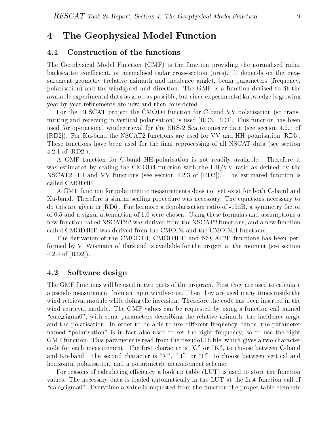# 4 The Geophysical Model Function

#### 4.1 Construction of the functions

The Geophysical Model Function (GMF) is the function providing the normalised radar backscatter coefficient, or normalised radar cross-section (nrcs). It depends on the measurement geometry (relative azimuth and incidence angle), beam parameters (frequency, polarisation) and the windspeed and direction. The GMF is a function devised to fit the available experimental data as good as possible, but since experimental knowledge is growing year by year refinements are now and then considered.

For the RFSCAT project the CMOD4 function for C-band VV-polarisation (so transmitting and receiving in vertical polarisation) is used [RD3, RD4]. This function has been used for operational windretrieval for the ERS-2 Scatterometer data (see section 4.2.1 of [RD2]). For Ku-band the NSCAT2 functions are used for VV and HH polarisation [RD5]. These functions have been used for the final reprocessing of all NSCAT data (see section 4.2.1 of [RD2]).

A GMF function for C-band HH-polarisation is not readily available. Therefore it was estimated by scaling the CMOD4 function with the  $HH/VV$  ratio as defined by the NSCAT2 HH and VV functions (see section 4.2.3 of [RD2]). The estimated function is called CMOD4H.

A GMF function for polarimetric measurements does not yet exist for both C-band and Ku-band. Therefore a similar scaling procedure was necessary. The equations necessary to do this are given in [RD6]. Furthermore a depolarisation ratio of -15dB, a symmetry factor of 0.5 and a signal attenuation of 1.0 were chosen. Using these formulas and assumptions a new function called NSCAT2P was derived from the NSCAT2 functions, and a new function called CMOD4HP was derived from the CMOD4 and the CMOD4H functions.

The derivation of the CMOD4H, CMOD4HP and NSCAT2P functions has been performed by V. Wismann of Ifars and is available for the project at the moment (see section 4.2.4 of [RD2]).

## 4.2 Software design

The GMF functions will be used in two parts of the program. First they are used to calculate a pseudo measurement from an input windvector. Then they are used many times inside the wind retrieval module while doing the inversion. Therefore the code has been inserted in the wind retrieval module. The GMF values can be requested by using a function call named "calc sigma0", with some parameters describing the relative azimuth, the incidence angle and the polarisation. In order to be able to use different frequency bands, the parameter named "polarisation" is in fact also used to set the right frequency, so to use the right  $GMF$  function. This parameter is read from the pseudoL1b file, which gives a two character code for each measurement. The first character is " $C$ " or "K", to choose between C-band and Ku-band. The second character is "V", "H", or "P", to choose between vertical and horizontal polarisation, and a polarimetric measurement scheme.

For reasons of calculating efficiency a look up table  $(LUT)$  is used to store the function values. The necessary data is loaded automatically in the LUT at the first function call of \calc sigma0". Everytime a value is requested from the function the proper table elements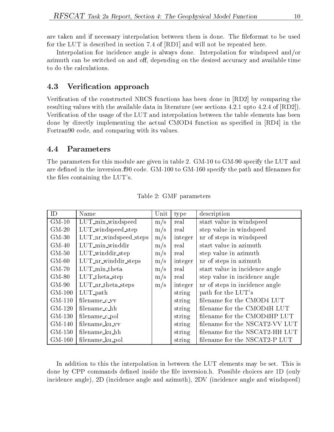are taken and if necessary interpolation between them is done. The fileformat to be used for the LUT is described in section 7.4 of [RD1] and will not be repeated here.

Interpolation for incidence angle is always done. Interpolation for windspeed and/or azimuth can be switched on and off, depending on the desired accuracy and available time to do the calculations.

### 4.3 Verication approach

Verification of the constructed NRCS functions has been done in [RD2] by comparing the resulting values with the available data in literature (see sections 4.2.1 upto 4.2.4 of [RD2]). Verification of the usage of the LUT and interpolation between the table elements has been done by directly implementing the actual CMOD4 function as specied in [RD4] in the Fortran90 code, and comparing with its values.

#### 4.4 Parameters

The parameters for this module are given in table 2. GM-10 to GM-90 specify the LUT and are defined in the inversion. f90 code. GM-100 to GM-160 specify the path and filenames for the files containing the LUT's.

| ID                  | Name                          | Unit | type    | description                    |
|---------------------|-------------------------------|------|---------|--------------------------------|
| $\overline{GM}$ -10 | LUT_min_windspeed             | m/s  | real    | start value in windspeed       |
| $GM-20$             | LUT_windspeed_step            | m/s  | real    | step value in windspeed        |
| $GM-30$             | LUT_nr_windspeed_steps        | m/s  | integer | nr of steps in windspeed       |
| $GM-40$             | $LUT$ <sub>min</sub> _winddir | m/s  | real    | start value in azimuth         |
| $GM-50$             | LUT_winddir_step              | m/s  | real    | step value in azimuth          |
| $GM-60$             | $LUT_nr_winddir steps$        | m/s  | integer | nr of steps in azimuth         |
| $GM-70$             | LUT_min_theta                 | m/s  | real    | start value in incidence angle |
| $GM-80$             | $LUT$ _theta_step             | m/s  | real    | step value in incidence angle  |
| $GM-90$             | $LUT_nr_{theta steps}$        | m/s  | integer | nr of steps in incidence angle |
| $GM-100$            | $LUT$ <sub>-path</sub>        |      | string  | path for the LUT's             |
| $GM-110$            | filename_c_vv                 |      | string  | filename for the CMOD4 LUT     |
| $GM-120$            | filename_c_hh                 |      | string  | filename for the CMOD4H LUT    |
| $GM-130$            | filename_c_pol                |      | string  | filename for the CMOD4HP LUT   |
| $GM-140$            | filename_ku_vv                |      | string  | filename for the NSCAT2-VV LUT |
| $GM-150$            | filename_ku_hh                |      | string  | filename for the NSCAT2-HH LUT |
| $GM-160$            | filename_ku_pol               |      | string  | filename for the NSCAT2-P LUT  |

Table 2: GMF parameters

In addition to this the interpolation in between the LUT elements may be set. This is done by CPP commands defined inside the file inversion.h. Possible choices are 1D (only incidence angle), 2D (incidence angle and azimuth), 2DV (incidence angle and windspeed)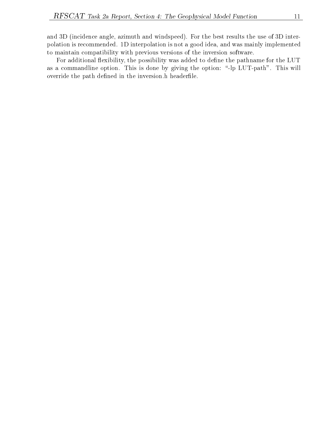and 3D (incidence angle, azimuth and windspeed). For the best results the use of 3D interpolation is recommended. 1D interpolation is not a good idea, and was mainly implemented to maintain compatibility with previous versions of the inversion software.

For additional flexibility, the possibility was added to define the pathname for the LUT as a commandline option. This is done by giving the option: "-lp LUT-path". This will override the path defined in the inversion.h headerfile.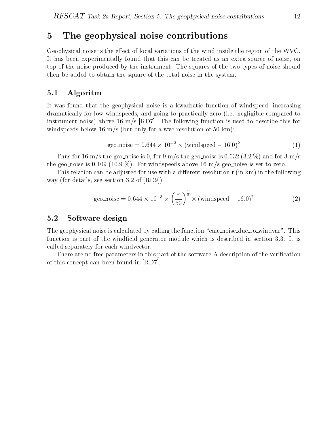# 5 The geophysical noise contributions

Geophysical noise is the effect of local variations of the wind inside the region of the WVC. It has been experimentally found that this can be treated as an extra source of noise, on top of the noise produced by the instrument. The squares of the two types of noise should then be added to obtain the square of the total noise in the system.

#### 5.1 Algoritm

It was found that the geophysical noise is a kwadratic function of windspeed, increasing dramatically for low windspeeds, and going to practically zero (i.e. negligible compared to instrument noise) above 16 m/s [RD7]. The following function is used to describe this for windspeeds below 16 m/s (but only for a wvc resolution of 50 km):

$$
geo\_noise = 0.644 \times 10^{-3} \times (windspeed - 16.0)^2
$$
 (1)

Thus for 16 m/s the geo noise is 0, for 9 m/s the geo noise is 0.032 (3.2 %) and for 3 m/s the geo noise is 0.109 (10.9 %). For windspeeds above 16 m/s geo noise is set to zero.

This relation can be adjusted for use with a different resolution r (in km) in the following way (for details, see section 3.2 of [RD9]):

geo-noise = 
$$
0.644 \times 10^{-3} \times \left(\frac{r}{50}\right)^{\frac{1}{3}} \times \text{(windspeed - 16.0)}^2
$$
 (2)

#### 5.2 Software design

The geophysical noise is calculated by calling the function "calc noise due to windvar". This function is part of the windfield generator module which is described in section 3.3. It is called separately for each windvector.

There are no free parameters in this part of the software A description of the verication of this concept can been found in [RD7].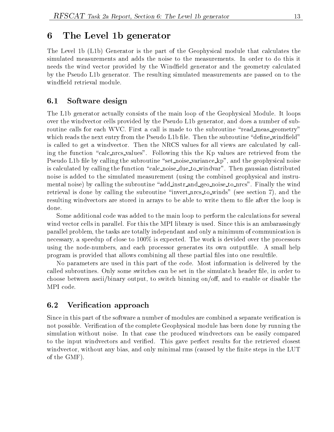# 6 The Level 1b generator

The Level 1b (L1b) Generator is the part of the Geophysical module that calculates the simulated measurements and adds the noise to the measurements. In order to do this it needs the wind vector provided by the Windfield generator and the geometry calculated by the Pseudo L1b generator. The resulting simulated measurements are passed on to the windeld retrieval module.

# 6.1 Software design

The L1b generator actually consists of the main loop of the Geophysical Module. It loops over the windvector cells provided by the Pseudo L1b generator, and does a number of subroutine calls for each WVC. First a call is made to the subroutine "read meas geometry" which reads the next entry from the Pseudo L1b file. Then the subroutine "define\_windfield" is called to get a windvector. Then the NRCS values for all views are calculated by calling the function "calc\_nrcs\_values". Following this the Kp values are retrieved from the Pseudo L1b file by calling the subroutine "set noise variance kp", and the geophysical noise is calculated by calling the function "calc noise due to windvar". Then gaussian distributed noise is added to the simulated measurement (using the combined geophysical and instrumental noise) by calling the subroutine "add instr and geo noise to nrcs". Finally the wind retrieval is done by calling the subroutine \invert nrcs to winds" (see section 7), and the resulting windvectors are stored in arrays to be able to write them to file after the loop is done.

Some additional code was added to the main loop to perform the calculations for several wind vector cells in parallel. For this the MPI library is used. Since this is an ambarassingly parallel problem, the tasks are totally independant and only a minimum of communication is necessary, a speedup of close to 100% is expected. The work is devided over the processors using the node-numbers, and each processor generates its own outputfile. A small help program is provided that allows combining all these partial files into one result file.

No parameters are used in this part of the code. Most information is delivered by the called subroutines. Only some switches can be set in the simulate h header file, in order to choose between ascii/binary output, to switch binning on/off, and to enable or disable the MPI code.

# 6.2 Verication approach

Since in this part of the software a number of modules are combined a separate verication is not possible. Verification of the complete Geophysical module has been done by running the simulation without noise. In that case the produced windvectors can be easily compared to the input windvectors and verified. This gave perfect results for the retrieved closest windvector, without any bias, and only minimal rms (caused by the finite steps in the LUT of the GMF).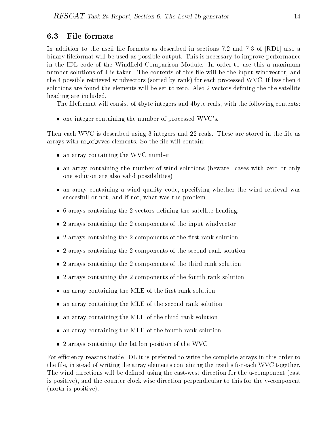# 6.3 File formats

In addition to the ascii file formats as described in sections 7.2 and 7.3 of  $[RD1]$  also a binary leformat will be used as possible output. This is necessary to improve performance in the IDL code of the Windfield Comparison Module. In order to use this a maximum number solutions of 4 is taken. The contents of this file will be the input windvector, and the 4 possible retrieved windvectors (sorted by rank) for each processed WVC. If less then 4 solutions are found the elements will be set to zero. Also 2 vectors defining the the satellite heading are included.

The fileformat will consist of 4byte integers and 4byte reals, with the following contents:

 $\bullet$  one integer containing the number of processed WVC's.

Then each WVC is described using 3 integers and 22 reals. These are stored in the file as arrays with  $nr_of_$ wvcs elements. So the file will contain:

- an array containing the WVC number
- an array containing the number of wind solutions (beware: cases with zero or only one solution are also valid possibilities)
- an array containing a wind quality code, specifying whether the wind retrieval was succesfull or not, and if not, what was the problem.
- 6 arrays containing the 2 vectors defining the satellite heading.
- 2 arrays containing the 2 components of the input windvector
- $\bullet$  2 arrays containing the 2 components of the first rank solution
- 2 arrays containing the 2 components of the second rank solution
- 2 arrays containing the 2 components of the third rank solution
- 2 arrays containing the 2 components of the fourth rank solution
- $\bullet$  an array containing the MLE of the first rank solution
- an array containing the MLE of the second rank solution
- an array containing the MLE of the third rank solution
- an array containing the MLE of the fourth rank solution
- 2 arrays containing the lat,lon position of the WVC

For efficiency reasons inside IDL it is preferred to write the complete arrays in this order to the file, in stead of writing the array elements containing the results for each WVC together. The wind directions will be defined using the east-west direction for the u-component (east is positive), and the counter clock wise direction perpendicular to this for the v-component (north is positive).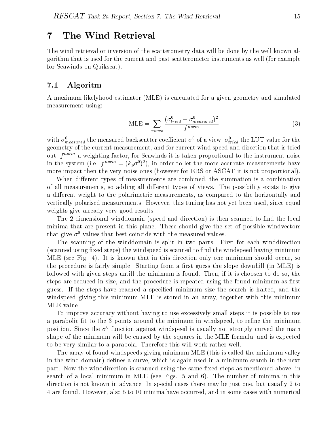## 7 The Wind Retrieval

The wind retrieval or inversion of the scatterometry data will be done by the well known algorithm that is used for the current and past scatterometer instruments as well (for example for Seawinds on Quikscat).

#### 7.1 Algoritm

A maximum likelyhood estimator (MLE) is calculated for a given geometry and simulated measurement using:

$$
MLE = \sum_{views} \frac{(\sigma_{fried}^0 - \sigma_{measured}^0)^2}{f^{norm}} \tag{3}
$$

with  $\sigma_{measured}$  the measured backscatter coemcient  $\sigma^*$  of a view,  $\sigma_{fried}$  the LUT value for the  $\mathbf{a}$ out,  $f^{norm}$  a weighting factor, for Seawinds it is taken proportional to the instrument noise in the system (i.e.  $f^{(1)}(x, y) = (k_y \delta^{(1)})^T$ ), in order to let the more accurate measurements have more impact then the very noise ones (however for ERS or ASCAT it is not proportional).

When different types of measurements are combined, the summation is a combination of all measurements, so adding all different types of views. The possibility exists to give a different weight to the polarimetric measurements, as compared to the horizontally and vertically polarised measurements. However, this tuning has not yet been used, since equal weights give already very good results.

The 2 dimensional winddomain (speed and direction) is then scanned to find the local minima that are present in this plane. These should give the set of possible windvectors that give  $\sigma^0$  values that best coincide with the measured values.

The scanning of the winddomain is split in two parts. First for each winddirection (scanned using fixed steps) the windspeed is scanned to find the windspeed having minimum MLE (see Fig. 4). It is known that in this direction only one minimum should occur, so the procedure is fairly simple. Starting from a first guess the slope downhill (in MLE) is followed with given steps untill the minimum is found. Then, if it is choosen to do so, the steps are reduced in size, and the procedure is repeated using the found minimum as first guess. If the steps have reached a specied minimum size the search is halted, and the windspeed giving this minimum MLE is stored in an array, together with this minimum MLE value.

To improve accuracy without having to use excessively small steps it is possible to use a parabolic fit to the 3 points around the minimum in windspeed, to refine the minimum position. Since the  $\sigma^+$  function against windspeed is usually not strongly curved the main  $\sigma$ shape of the minimum will be caused by the squares in the MLE formula, and is expected to be very similar to a parabola. Therefore this will work rather well.

The array of found windspeeds giving minimum MLE (this is called the minimum valley in the wind domain) defines a curve, which is again used in a minimum search in the next part. Now the winddirection is scanned using the same fixed steps as mentioned above, in search of a local minimum in MLE (see Figs. 5 and 6). The number of minima in this direction is not known in advance. In special cases there may be just one, but usually 2 to 4 are found. However, also 5 to 10 minima have occurred, and in some cases with numerical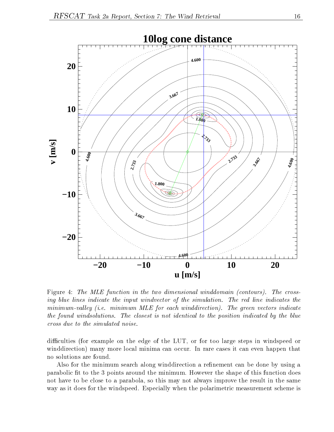

Figure 4: The MLE function in the two dimensional winddomain (contours). The crossing blue lines indicate the input windvector of the simulation. The red line indicates the  $minimum-valuey$  (i.e. minimum MLE for each winddirection). The green vectors indicate the found windsolutions. The closest is not identical to the position indicated by the blue cross due to the simulated noise.

difficulties (for example on the edge of the LUT, or for too large steps in windspeed or winddirection) many more local minima can occur. In rare cases it can even happen that no solutions are found.

Also for the minimum search along winddirection a refinement can be done by using a parabolic fit to the 3 points around the minimum. However the shape of this function does not have to be close to a parabola, so this may not always improve the result in the same way as it does for the windspeed. Especially when the polarimetric measurement scheme is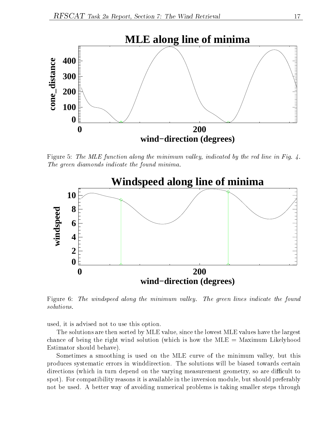

Figure 5: The MLE function along the minimum valley, indicated by the red line in Fig. 4. The green diamonds indicate the found minima.



Figure 6: The windspeed along the minimum valley. The green lines indicate the found

used, it is advised not to use this option.

The solutions are then sorted by MLE value, since the lowest MLE values have the largest chance of being the right wind solution (which is how the  $MLE =$  Maximum Likelyhood Estimator should behave).

Sometimes a smoothing is used on the MLE curve of the minimum valley, but this produces systematic errors in winddirection. The solutions will be biased towards certain directions (which in turn depend on the varying measurement geometry, so are difficult to spot). For compatibility reasons it is available in the inversion module, but should preferably not be used. A better way of avoiding numerical problems is taking smaller steps through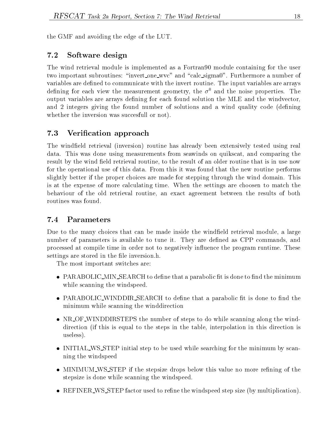the GMF and avoiding the edge of the LUT.

# 7.2 Software design

The wind retrieval module is implemented as a Fortran90 module containing for the user two important subroutines: "invert\_one\_wvc" and "calc\_sigma0". Furthermore a number of variables are defined to communicate with the invert routine. The input variables are arrays defining for each view the measurement geometry, the  $\sigma^0$  and the noise properties. The output variables are arrays defining for each found solution the MLE and the windvector, and 2 integers giving the found number of solutions and a wind quality code (defining whether the inversion was succesfull or not).

#### $7.3$ Verification approach

The windfield retrieval (inversion) routine has already been extensively tested using real data. This was done using measurements from seawinds on quikscat, and comparing the result by the wind field retrieval routine, to the result of an older routine that is in use now for the operational use of this data. From this it was found that the new routine performs slightly better if the proper choices are made for stepping through the wind domain. This is at the expense of more calculating time. When the settings are choosen to match the behaviour of the old retrieval routine, an exact agreement between the results of both routines was found.

# $7.4$

Due to the many choices that can be made inside the windfield retrieval module, a large number of parameters is available to tune it. They are defined as CPP commands, and processed at compile time in order not to negatively influence the program runtime. These settings are stored in the file inversion.h.

The most important switches are:

- $\bullet$  PARABOLIC\_MIN\_SEARCH to define that a parabolic fit is done to find the minimum while scanning the windspeed.
- PARABOLIC\_WINDDIR\_SEARCH to define that a parabolic fit is done to find the minimum while scanning the winddirection
- NR OF WINDDIRSTEPS the number of steps to do while scanning along the winddirection (if this is equal to the steps in the table, interpolation in this direction is useless).
- INITIAL WS STEP initial step to be used while searching for the minimum by scanning the windspeed
- MINIMUM\_WS\_STEP if the stepsize drops below this value no more refining of the stepsize is done while scanning the windspeed.
- REFINER\_WS\_STEP factor used to refine the windspeed step size (by multiplication).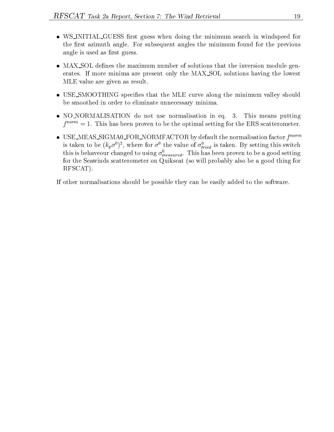- WS\_INITIAL\_GUESS first guess when doing the minimum search in windspeed for the first azimuth angle. For subsequent angles the minimum found for the previous angle is used as first guess.
- MAX\_SOL defines the maximum number of solutions that the inversion module generates. If more minima are present only the MAX SOL solutions having the lowest MLE value are given as result.
- USE\_SMOOTHING specifies that the MLE curve along the minimum valley should be smoothed in order to eliminate unnecessary minima.
- NO NORMALISATION do not use normalisation in eq. 3. This means putting  $f^{norm} = 1$ . This has been proven to be the optimal setting for the ERS scatterometer.
- USE\_MEAS\_SIGMA0\_FOR\_NORMFACTOR by default the normalisation factor  $f^{norm}$ is taken to be  $(\kappa_p \sigma^2)^2$ , where for  $\sigma^2$  the value of  $\sigma_{tried}$  is taken. By setting this switch this is behaveour changed to using  $\sigma^{\textit{measured}}_{\textit{measured}}$ . This has been proven to be a good setting for the Seawinds scatterometer on Quikscat (so will probably also be a good thing for RFSCAT).

If other normalisations should be possible they can be easily added to the software.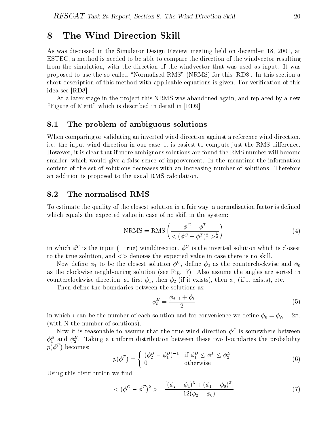# 8 The Wind Direction Skill

As was discussed in the Simulator Design Review meeting held on december 18, 2001, at ESTEC, a method is needed to be able to compare the direction of the windvector resulting from the simulation, with the direction of the windvector that was used as input. It was proposed to use the so called "Normalised RMS" (NRMS) for this [RD8]. In this section a short description of this method with applicable equations is given. For verification of this idea see [RD8].

At a later stage in the project this NRMS was abandoned again, and replaced by a new "Figure of Merit" which is described in detail in [RD9].

#### 8.1 The problem of ambiguous solutions

When comparing or validating an inverted wind direction against a reference wind direction, i.e. the input wind direction in our case, it is easiest to compute just the RMS difference. However, it is clear that if more ambiguous solutions are found the RMS number will become smaller, which would give a false sence of improvement. In the meantime the information content of the set of solutions decreases with an increasing number of solutions. Therefore an addition is proposed to the usual RMS calculation.

#### 8.2 The normalised RMS

To estimate the quality of the closest solution in a fair way, a normalisation factor is defined which equals the expected value in case of no skill in the system:

$$
NRMS = RMS \left( \frac{\phi^C - \phi^T}{\langle (\phi^C - \phi^T)^2 \rangle^{\frac{1}{2}}} \right) \tag{4}
$$

in which  $\phi^-$  is the input (=true) winddirection,  $\phi^-$  is the inverted solution which is closest to the true solution, and <> denotes the expected value in case there is no skill.

Now define  $\varphi_1$  to be the closest solution  $\varphi^{\scriptscriptstyle -}$  , define  $\varphi_2$  as the counterclockwise and  $\varphi_0$ as the clockwise neighbouring solution (see Fig. 7). Also assume the angles are sorted in counterclockwise direction, so first  $\phi_1$ , then  $\phi_2$  (if it exists), then  $\phi_3$  (if it exists), etc.

Then define the boundaries between the solutions as:

$$
\phi_i^B = \frac{\phi_{i-1} + \phi_i}{2} \tag{5}
$$

in which *i* can be the number of each solution and for convenience we define  $\phi_0 = \phi_N - 2\pi$ . (with N the number of solutions).

Now it is reasonable to assume that the true wind direction  $\varphi^-$  is somewhere between  $\varphi_{1}^{2}$  and  $\varphi_{2}^{2}$ . Taking a uniform distribution between these two boundaries the probability  $p(\varphi^-$  ) becomes:

$$
p(\phi^T) = \begin{cases} (\phi_2^B - \phi_1^B)^{-1} & \text{if } \phi_1^B \le \phi^T \le \phi_2^B\\ 0 & \text{otherwise} \end{cases}
$$
 (6)

Using this distribution we find:

$$
\langle (\phi^C - \phi^T)^2 \rangle = \frac{[(\phi_2 - \phi_1)^3 + (\phi_1 - \phi_0)^3]}{12(\phi_2 - \phi_0)} \tag{7}
$$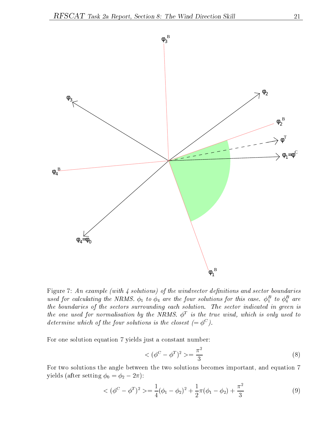

Figure 7: An example (with  $\lambda$  solutions) of the windvector definitions and sector boundaries used for calculating the NRMS.  $\varphi_1$  to  $\varphi_4$  are the four solutions for this case.  $\varphi_1^-$  to  $\varphi_4^-$  are the boundaries of the sectors surrounding each solution. The sector indicated in green is the one used for normalisation by the NRMS.  $\varphi^-$  is the true wind, which is only used to  $\Box$ determine which of the four solutions is the closest  $\mathcal{C} = \varphi^*$  f.

For one solution equation 7 yields just a constant number:

$$
\langle (\phi^C - \phi^T)^2 \rangle = \frac{\pi^2}{3} \tag{8}
$$

For two solutions the angle between the two solutions becomes important, and equation 7 yields (after setting  $\phi_0 = \phi_2 - 2\pi$ ):

$$
\langle (\phi^C - \phi^T)^2 \rangle = \frac{1}{4} (\phi_1 - \phi_2)^2 + \frac{1}{2} \pi (\phi_1 - \phi_2) + \frac{\pi^2}{3} \tag{9}
$$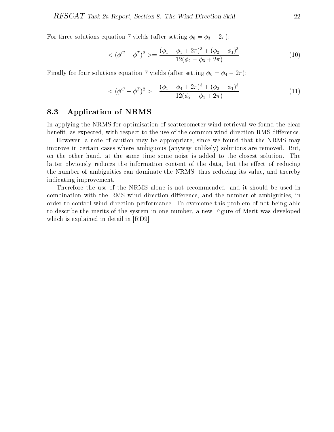For three solutions equation 7 yields (after setting  $\phi_0 = \phi_3 - 2\pi$ ):

$$
\langle (\phi^C - \phi^T)^2 \rangle = \frac{(\phi_1 - \phi_3 + 2\pi)^3 + (\phi_2 - \phi_1)^3}{12(\phi_2 - \phi_3 + 2\pi)} \tag{10}
$$

Finally for four solutions equation 7 yields (after setting  $\phi_0 = \phi_4 - 2\pi$ ):

$$
\langle (\phi^C - \phi^T)^2 \rangle = \frac{(\phi_1 - \phi_4 + 2\pi)^3 + (\phi_2 - \phi_1)^3}{12(\phi_2 - \phi_4 + 2\pi)} \tag{11}
$$

#### 8.3 Application of NRMS

In applying the NRMS for optimisation of scatterometer wind retrieval we found the clear benefit, as expected, with respect to the use of the common wind direction RMS difference.

However, a note of caution may be appropriate, since we found that the NRMS may improve in certain cases where ambiguous (anyway unlikely) solutions are removed. But, on the other hand, at the same time some noise is added to the closest solution. The latter obviously reduces the information content of the data, but the effect of reducing the number of ambiguities can dominate the NRMS, thus reducing its value, and thereby indicating improvement.

Therefore the use of the NRMS alone is not recommended, and it should be used in combination with the RMS wind direction difference, and the number of ambiguities, in order to control wind direction performance. To overcome this problem of not being able to describe the merits of the system in one number, a new Figure of Merit was developed which is explained in detail in [RD9].